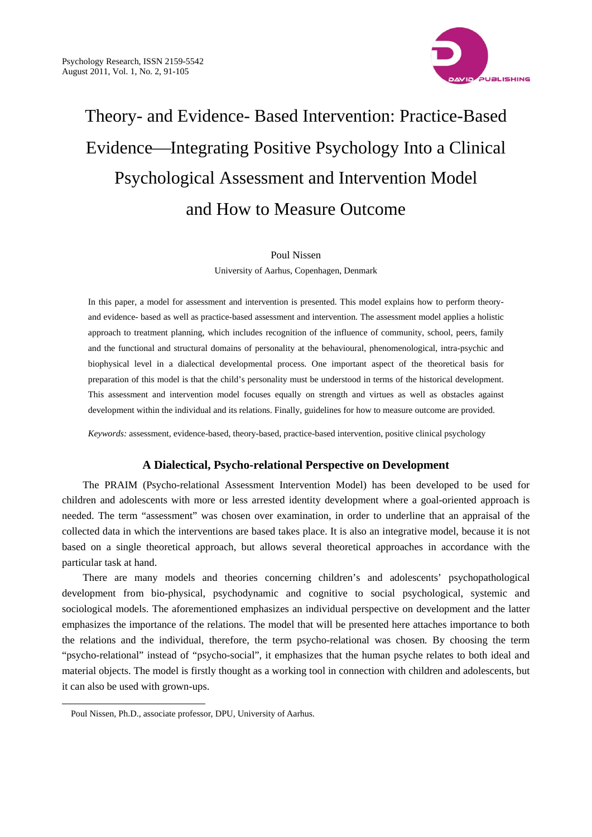

# Theory- and Evidence- Based Intervention: Practice-Based Evidence—Integrating Positive Psychology Into a Clinical Psychological Assessment and Intervention Model and How to Measure Outcome

#### Poul Nissen

University of Aarhus, Copenhagen, Denmark

In this paper, a model for assessment and intervention is presented. This model explains how to perform theoryand evidence- based as well as practice-based assessment and intervention. The assessment model applies a holistic approach to treatment planning, which includes recognition of the influence of community, school, peers, family and the functional and structural domains of personality at the behavioural, phenomenological, intra-psychic and biophysical level in a dialectical developmental process. One important aspect of the theoretical basis for preparation of this model is that the child's personality must be understood in terms of the historical development. This assessment and intervention model focuses equally on strength and virtues as well as obstacles against development within the individual and its relations. Finally, guidelines for how to measure outcome are provided.

*Keywords:* assessment, evidence-based, theory-based, practice-based intervention, positive clinical psychology

# **A Dialectical, Psycho-relational Perspective on Development**

The PRAIM (Psycho-relational Assessment Intervention Model) has been developed to be used for children and adolescents with more or less arrested identity development where a goal-oriented approach is needed. The term "assessment" was chosen over examination, in order to underline that an appraisal of the collected data in which the interventions are based takes place. It is also an integrative model, because it is not based on a single theoretical approach, but allows several theoretical approaches in accordance with the particular task at hand.

There are many models and theories concerning children's and adolescents' psychopathological development from bio-physical, psychodynamic and cognitive to social psychological, systemic and sociological models. The aforementioned emphasizes an individual perspective on development and the latter emphasizes the importance of the relations. The model that will be presented here attaches importance to both the relations and the individual, therefore, the term psycho-relational was chosen*.* By choosing the term "psycho-relational" instead of "psycho-social", it emphasizes that the human psyche relates to both ideal and material objects. The model is firstly thought as a working tool in connection with children and adolescents, but it can also be used with grown-ups.

 $\overline{a}$ 

Poul Nissen, Ph.D., associate professor, DPU, University of Aarhus.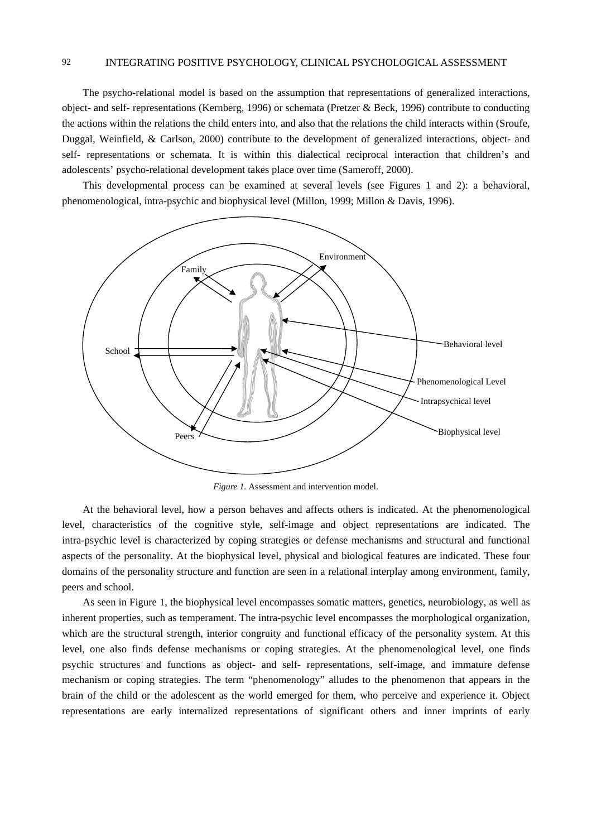The psycho-relational model is based on the assumption that representations of generalized interactions, object- and self- representations (Kernberg, 1996) or schemata (Pretzer & Beck, 1996) contribute to conducting the actions within the relations the child enters into, and also that the relations the child interacts within (Sroufe, Duggal, Weinfield, & Carlson, 2000) contribute to the development of generalized interactions, object- and self- representations or schemata. It is within this dialectical reciprocal interaction that children's and adolescents' psycho-relational development takes place over time (Sameroff, 2000).

This developmental process can be examined at several levels (see Figures 1 and 2): a behavioral, phenomenological, intra-psychic and biophysical level (Millon, 1999; Millon & Davis, 1996).



*Figure 1.* Assessment and intervention model.

At the behavioral level, how a person behaves and affects others is indicated. At the phenomenological level, characteristics of the cognitive style, self-image and object representations are indicated. The intra-psychic level is characterized by coping strategies or defense mechanisms and structural and functional aspects of the personality. At the biophysical level, physical and biological features are indicated. These four domains of the personality structure and function are seen in a relational interplay among environment, family, peers and school.

As seen in Figure 1, the biophysical level encompasses somatic matters, genetics, neurobiology, as well as inherent properties, such as temperament. The intra-psychic level encompasses the morphological organization, which are the structural strength, interior congruity and functional efficacy of the personality system. At this level, one also finds defense mechanisms or coping strategies. At the phenomenological level, one finds psychic structures and functions as object- and self- representations, self-image, and immature defense mechanism or coping strategies. The term "phenomenology" alludes to the phenomenon that appears in the brain of the child or the adolescent as the world emerged for them, who perceive and experience it. Object representations are early internalized representations of significant others and inner imprints of early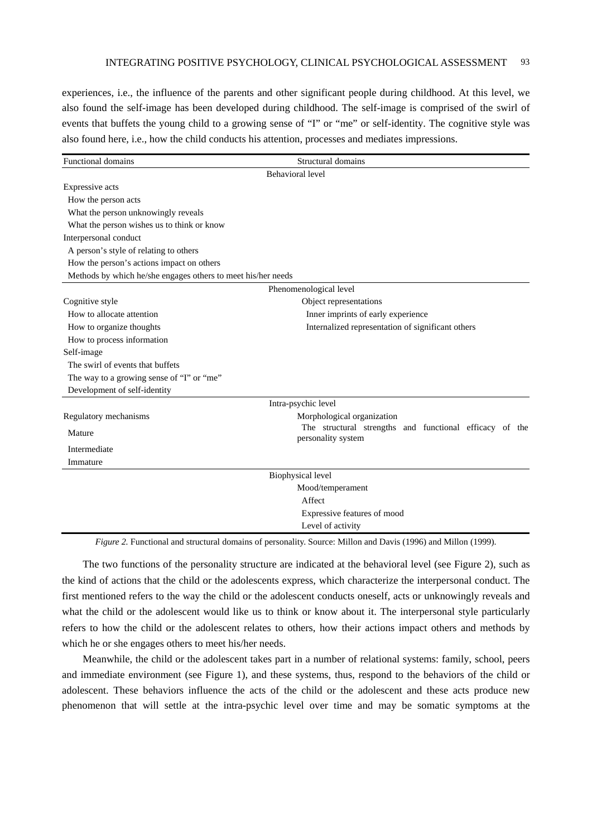experiences, i.e., the influence of the parents and other significant people during childhood. At this level, we also found the self-image has been developed during childhood. The self-image is comprised of the swirl of events that buffets the young child to a growing sense of "I" or "me" or self-identity. The cognitive style was also found here, i.e., how the child conducts his attention, processes and mediates impressions.

| <b>Functional domains</b>                                    | Structural domains                                                            |
|--------------------------------------------------------------|-------------------------------------------------------------------------------|
|                                                              | <b>Behavioral</b> level                                                       |
| Expressive acts                                              |                                                                               |
| How the person acts                                          |                                                                               |
| What the person unknowingly reveals                          |                                                                               |
| What the person wishes us to think or know                   |                                                                               |
| Interpersonal conduct                                        |                                                                               |
| A person's style of relating to others                       |                                                                               |
| How the person's actions impact on others                    |                                                                               |
| Methods by which he/she engages others to meet his/her needs |                                                                               |
|                                                              | Phenomenological level                                                        |
| Cognitive style                                              | Object representations                                                        |
| How to allocate attention                                    | Inner imprints of early experience                                            |
| How to organize thoughts                                     | Internalized representation of significant others                             |
| How to process information                                   |                                                                               |
| Self-image                                                   |                                                                               |
| The swirl of events that buffets                             |                                                                               |
| The way to a growing sense of "I" or "me"                    |                                                                               |
| Development of self-identity                                 |                                                                               |
|                                                              | Intra-psychic level                                                           |
| Regulatory mechanisms                                        | Morphological organization                                                    |
| Mature                                                       | The structural strengths and functional efficacy of the<br>personality system |
| Intermediate                                                 |                                                                               |
| Immature                                                     |                                                                               |
|                                                              | Biophysical level                                                             |
|                                                              | Mood/temperament                                                              |
|                                                              | Affect                                                                        |
|                                                              | Expressive features of mood                                                   |
|                                                              | Level of activity                                                             |

*Figure 2.* Functional and structural domains of personality. Source: Millon and Davis (1996) and Millon (1999).

The two functions of the personality structure are indicated at the behavioral level (see Figure 2), such as the kind of actions that the child or the adolescents express, which characterize the interpersonal conduct. The first mentioned refers to the way the child or the adolescent conducts oneself, acts or unknowingly reveals and what the child or the adolescent would like us to think or know about it. The interpersonal style particularly refers to how the child or the adolescent relates to others, how their actions impact others and methods by which he or she engages others to meet his/her needs.

Meanwhile, the child or the adolescent takes part in a number of relational systems: family, school, peers and immediate environment (see Figure 1), and these systems, thus, respond to the behaviors of the child or adolescent. These behaviors influence the acts of the child or the adolescent and these acts produce new phenomenon that will settle at the intra-psychic level over time and may be somatic symptoms at the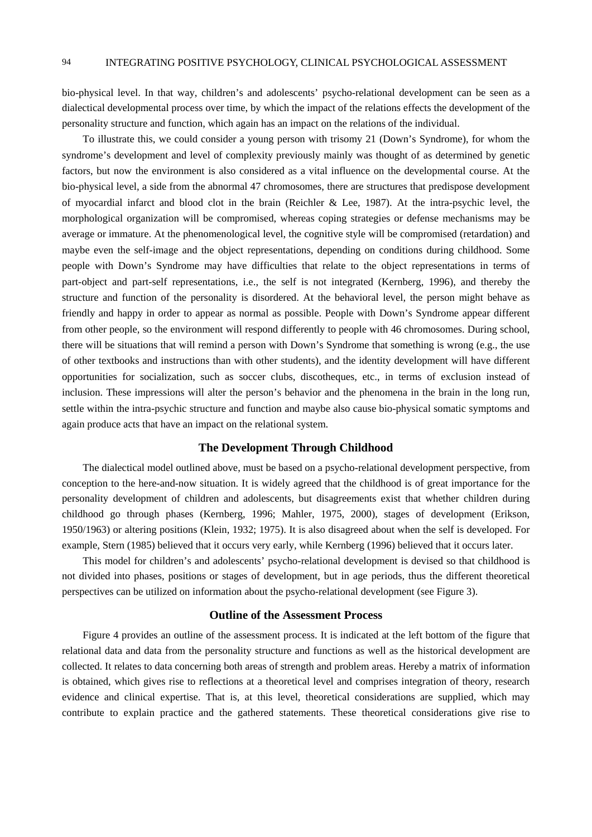bio-physical level. In that way, children's and adolescents' psycho-relational development can be seen as a dialectical developmental process over time, by which the impact of the relations effects the development of the personality structure and function, which again has an impact on the relations of the individual.

To illustrate this, we could consider a young person with trisomy 21 (Down's Syndrome), for whom the syndrome's development and level of complexity previously mainly was thought of as determined by genetic factors, but now the environment is also considered as a vital influence on the developmental course. At the bio-physical level, a side from the abnormal 47 chromosomes, there are structures that predispose development of myocardial infarct and blood clot in the brain (Reichler & Lee, 1987). At the intra-psychic level, the morphological organization will be compromised, whereas coping strategies or defense mechanisms may be average or immature. At the phenomenological level, the cognitive style will be compromised (retardation) and maybe even the self-image and the object representations, depending on conditions during childhood. Some people with Down's Syndrome may have difficulties that relate to the object representations in terms of part-object and part-self representations, i.e., the self is not integrated (Kernberg, 1996), and thereby the structure and function of the personality is disordered. At the behavioral level, the person might behave as friendly and happy in order to appear as normal as possible. People with Down's Syndrome appear different from other people, so the environment will respond differently to people with 46 chromosomes. During school, there will be situations that will remind a person with Down's Syndrome that something is wrong (e.g., the use of other textbooks and instructions than with other students), and the identity development will have different opportunities for socialization, such as soccer clubs, discotheques, etc., in terms of exclusion instead of inclusion. These impressions will alter the person's behavior and the phenomena in the brain in the long run, settle within the intra-psychic structure and function and maybe also cause bio-physical somatic symptoms and again produce acts that have an impact on the relational system.

## **The Development Through Childhood**

The dialectical model outlined above, must be based on a psycho-relational development perspective, from conception to the here-and-now situation. It is widely agreed that the childhood is of great importance for the personality development of children and adolescents, but disagreements exist that whether children during childhood go through phases (Kernberg, 1996; Mahler, 1975, 2000), stages of development (Erikson, 1950/1963) or altering positions (Klein, 1932; 1975). It is also disagreed about when the self is developed. For example, Stern (1985) believed that it occurs very early, while Kernberg (1996) believed that it occurs later.

This model for children's and adolescents' psycho-relational development is devised so that childhood is not divided into phases, positions or stages of development, but in age periods, thus the different theoretical perspectives can be utilized on information about the psycho-relational development (see Figure 3).

# **Outline of the Assessment Process**

Figure 4 provides an outline of the assessment process. It is indicated at the left bottom of the figure that relational data and data from the personality structure and functions as well as the historical development are collected. It relates to data concerning both areas of strength and problem areas. Hereby a matrix of information is obtained, which gives rise to reflections at a theoretical level and comprises integration of theory, research evidence and clinical expertise. That is, at this level, theoretical considerations are supplied, which may contribute to explain practice and the gathered statements. These theoretical considerations give rise to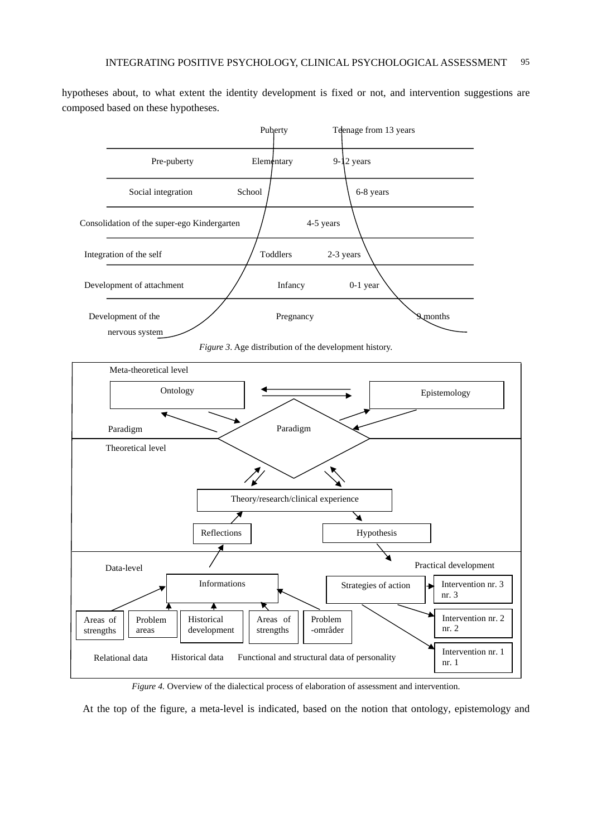hypotheses about, to what extent the identity development is fixed or not, and intervention suggestions are composed based on these hypotheses.



*Figure 4.* Overview of the dialectical process of elaboration of assessment and intervention.

At the top of the figure, a meta-level is indicated, based on the notion that ontology, epistemology and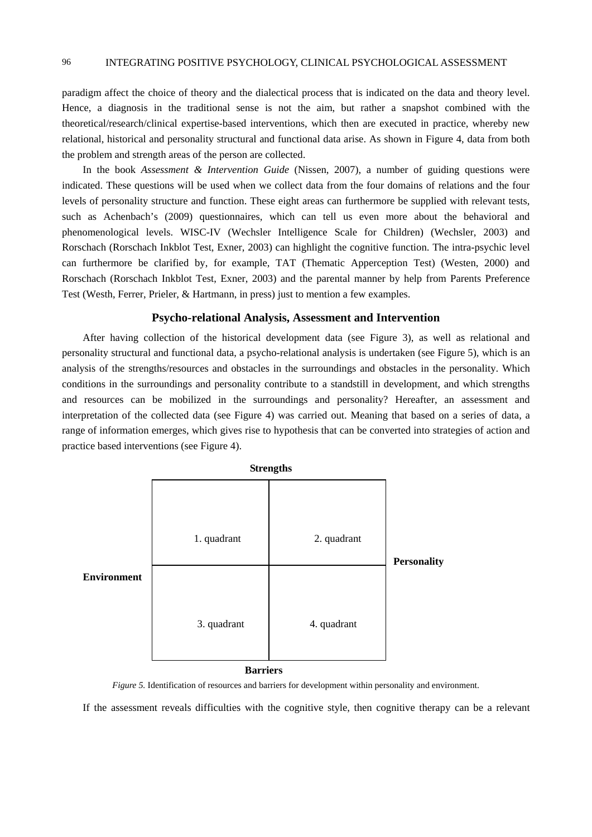paradigm affect the choice of theory and the dialectical process that is indicated on the data and theory level. Hence, a diagnosis in the traditional sense is not the aim, but rather a snapshot combined with the theoretical/research/clinical expertise-based interventions, which then are executed in practice, whereby new relational, historical and personality structural and functional data arise. As shown in Figure 4, data from both the problem and strength areas of the person are collected.

In the book *Assessment & Intervention Guide* (Nissen, 2007), a number of guiding questions were indicated. These questions will be used when we collect data from the four domains of relations and the four levels of personality structure and function. These eight areas can furthermore be supplied with relevant tests, such as Achenbach's (2009) questionnaires, which can tell us even more about the behavioral and phenomenological levels. WISC-IV (Wechsler Intelligence Scale for Children) (Wechsler, 2003) and Rorschach (Rorschach Inkblot Test, Exner, 2003) can highlight the cognitive function. The intra-psychic level can furthermore be clarified by, for example, TAT (Thematic Apperception Test) (Westen, 2000) and Rorschach (Rorschach Inkblot Test, Exner, 2003) and the parental manner by help from Parents Preference Test (Westh, Ferrer, Prieler, & Hartmann, in press) just to mention a few examples.

#### **Psycho-relational Analysis, Assessment and Intervention**

After having collection of the historical development data (see Figure 3), as well as relational and personality structural and functional data, a psycho-relational analysis is undertaken (see Figure 5), which is an analysis of the strengths/resources and obstacles in the surroundings and obstacles in the personality. Which conditions in the surroundings and personality contribute to a standstill in development, and which strengths and resources can be mobilized in the surroundings and personality? Hereafter, an assessment and interpretation of the collected data (see Figure 4) was carried out. Meaning that based on a series of data, a range of information emerges, which gives rise to hypothesis that can be converted into strategies of action and practice based interventions (see Figure 4).



 **Barriers** 

*Figure 5.* Identification of resources and barriers for development within personality and environment.

If the assessment reveals difficulties with the cognitive style, then cognitive therapy can be a relevant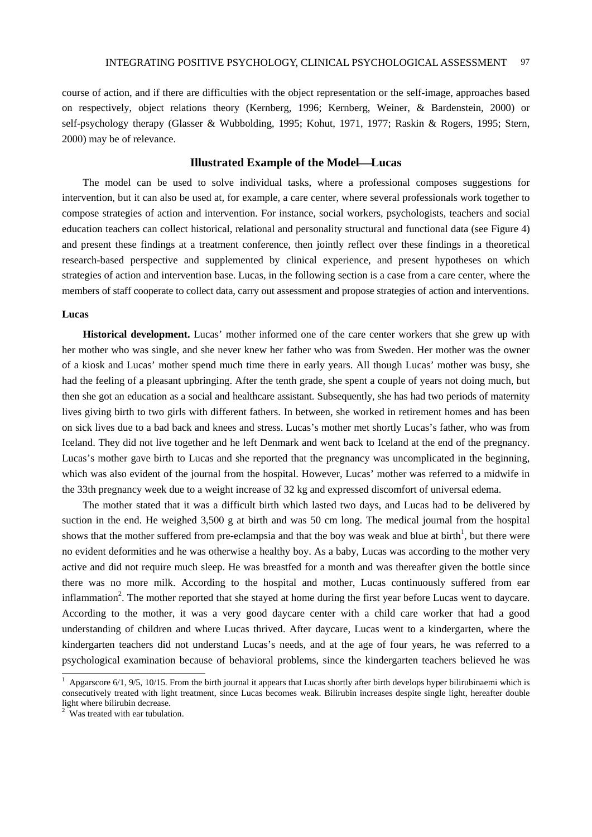course of action, and if there are difficulties with the object representation or the self-image, approaches based on respectively, object relations theory (Kernberg, 1996; Kernberg, Weiner, & Bardenstein, 2000) or self-psychology therapy (Glasser & Wubbolding, 1995; Kohut, 1971, 1977; Raskin & Rogers, 1995; Stern, 2000) may be of relevance.

# **Illustrated Example of the Model—Lucas**

The model can be used to solve individual tasks, where a professional composes suggestions for intervention, but it can also be used at, for example, a care center, where several professionals work together to compose strategies of action and intervention. For instance, social workers, psychologists, teachers and social education teachers can collect historical, relational and personality structural and functional data (see Figure 4) and present these findings at a treatment conference, then jointly reflect over these findings in a theoretical research-based perspective and supplemented by clinical experience, and present hypotheses on which strategies of action and intervention base. Lucas, in the following section is a case from a care center, where the members of staff cooperate to collect data, carry out assessment and propose strategies of action and interventions.

#### **Lucas**

**Historical development.** Lucas' mother informed one of the care center workers that she grew up with her mother who was single, and she never knew her father who was from Sweden. Her mother was the owner of a kiosk and Lucas' mother spend much time there in early years. All though Lucas' mother was busy, she had the feeling of a pleasant upbringing. After the tenth grade, she spent a couple of years not doing much, but then she got an education as a social and healthcare assistant. Subsequently, she has had two periods of maternity lives giving birth to two girls with different fathers. In between, she worked in retirement homes and has been on sick lives due to a bad back and knees and stress. Lucas's mother met shortly Lucas's father, who was from Iceland. They did not live together and he left Denmark and went back to Iceland at the end of the pregnancy. Lucas's mother gave birth to Lucas and she reported that the pregnancy was uncomplicated in the beginning, which was also evident of the journal from the hospital. However, Lucas' mother was referred to a midwife in the 33th pregnancy week due to a weight increase of 32 kg and expressed discomfort of universal edema.

The mother stated that it was a difficult birth which lasted two days, and Lucas had to be delivered by suction in the end. He weighed 3,500 g at birth and was 50 cm long. The medical journal from the hospital shows that the mother suffered from pre-eclampsia and that the boy was weak and blue at birth<sup>1</sup>, but there were no evident deformities and he was otherwise a healthy boy. As a baby, Lucas was according to the mother very active and did not require much sleep. He was breastfed for a month and was thereafter given the bottle since there was no more milk. According to the hospital and mother, Lucas continuously suffered from ear inflammation<sup>2</sup>. The mother reported that she stayed at home during the first year before Lucas went to daycare. According to the mother, it was a very good daycare center with a child care worker that had a good understanding of children and where Lucas thrived. After daycare, Lucas went to a kindergarten, where the kindergarten teachers did not understand Lucas's needs, and at the age of four years, he was referred to a psychological examination because of behavioral problems, since the kindergarten teachers believed he was

l

<sup>&</sup>lt;sup>1</sup> Apgarscore 6/1, 9/5, 10/15. From the birth journal it appears that Lucas shortly after birth develops hyper bilirubinaemi which is consecutively treated with light treatment, since Lucas becomes weak. Bilirubin increases despite single light, hereafter double light where bilirubin decrease.

 $2^{\circ}$  Was treated with ear tubulation.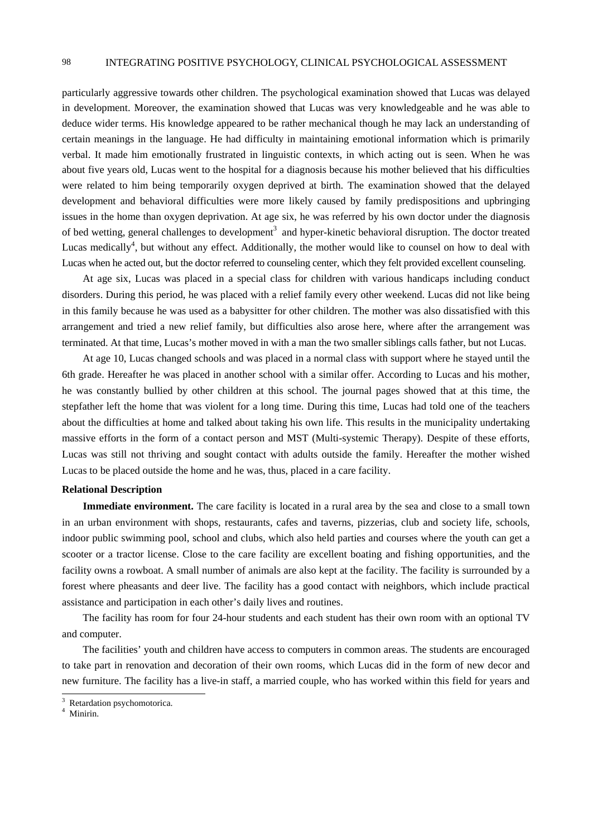particularly aggressive towards other children. The psychological examination showed that Lucas was delayed in development. Moreover, the examination showed that Lucas was very knowledgeable and he was able to deduce wider terms. His knowledge appeared to be rather mechanical though he may lack an understanding of certain meanings in the language. He had difficulty in maintaining emotional information which is primarily verbal. It made him emotionally frustrated in linguistic contexts, in which acting out is seen. When he was about five years old, Lucas went to the hospital for a diagnosis because his mother believed that his difficulties were related to him being temporarily oxygen deprived at birth. The examination showed that the delayed development and behavioral difficulties were more likely caused by family predispositions and upbringing issues in the home than oxygen deprivation. At age six, he was referred by his own doctor under the diagnosis of bed wetting, general challenges to development<sup>3</sup> and hyper-kinetic behavioral disruption. The doctor treated Lucas medically<sup>4</sup>, but without any effect. Additionally, the mother would like to counsel on how to deal with Lucas when he acted out, but the doctor referred to counseling center, which they felt provided excellent counseling.

At age six, Lucas was placed in a special class for children with various handicaps including conduct disorders. During this period, he was placed with a relief family every other weekend. Lucas did not like being in this family because he was used as a babysitter for other children. The mother was also dissatisfied with this arrangement and tried a new relief family, but difficulties also arose here, where after the arrangement was terminated. At that time, Lucas's mother moved in with a man the two smaller siblings calls father, but not Lucas.

At age 10, Lucas changed schools and was placed in a normal class with support where he stayed until the 6th grade. Hereafter he was placed in another school with a similar offer. According to Lucas and his mother, he was constantly bullied by other children at this school. The journal pages showed that at this time, the stepfather left the home that was violent for a long time. During this time, Lucas had told one of the teachers about the difficulties at home and talked about taking his own life. This results in the municipality undertaking massive efforts in the form of a contact person and MST (Multi-systemic Therapy). Despite of these efforts, Lucas was still not thriving and sought contact with adults outside the family. Hereafter the mother wished Lucas to be placed outside the home and he was, thus, placed in a care facility.

#### **Relational Description**

**Immediate environment.** The care facility is located in a rural area by the sea and close to a small town in an urban environment with shops, restaurants, cafes and taverns, pizzerias, club and society life, schools, indoor public swimming pool, school and clubs, which also held parties and courses where the youth can get a scooter or a tractor license. Close to the care facility are excellent boating and fishing opportunities, and the facility owns a rowboat. A small number of animals are also kept at the facility. The facility is surrounded by a forest where pheasants and deer live. The facility has a good contact with neighbors, which include practical assistance and participation in each other's daily lives and routines.

The facility has room for four 24-hour students and each student has their own room with an optional TV and computer.

The facilities' youth and children have access to computers in common areas. The students are encouraged to take part in renovation and decoration of their own rooms, which Lucas did in the form of new decor and new furniture. The facility has a live-in staff, a married couple, who has worked within this field for years and

<sup>&</sup>lt;sup>3</sup> Retardation psychomotorica.

<sup>4</sup> Minirin.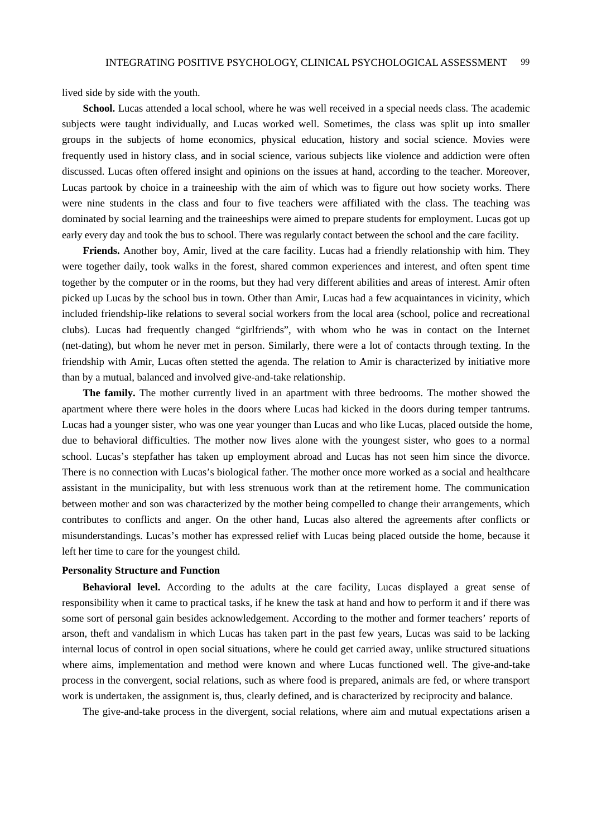lived side by side with the youth.

**School.** Lucas attended a local school, where he was well received in a special needs class. The academic subjects were taught individually, and Lucas worked well. Sometimes, the class was split up into smaller groups in the subjects of home economics, physical education, history and social science. Movies were frequently used in history class, and in social science, various subjects like violence and addiction were often discussed. Lucas often offered insight and opinions on the issues at hand, according to the teacher. Moreover, Lucas partook by choice in a traineeship with the aim of which was to figure out how society works. There were nine students in the class and four to five teachers were affiliated with the class. The teaching was dominated by social learning and the traineeships were aimed to prepare students for employment. Lucas got up early every day and took the bus to school. There was regularly contact between the school and the care facility.

**Friends.** Another boy, Amir, lived at the care facility. Lucas had a friendly relationship with him. They were together daily, took walks in the forest, shared common experiences and interest, and often spent time together by the computer or in the rooms, but they had very different abilities and areas of interest. Amir often picked up Lucas by the school bus in town. Other than Amir, Lucas had a few acquaintances in vicinity, which included friendship-like relations to several social workers from the local area (school, police and recreational clubs). Lucas had frequently changed "girlfriends", with whom who he was in contact on the Internet (net-dating), but whom he never met in person. Similarly, there were a lot of contacts through texting. In the friendship with Amir, Lucas often stetted the agenda. The relation to Amir is characterized by initiative more than by a mutual, balanced and involved give-and-take relationship.

**The family.** The mother currently lived in an apartment with three bedrooms. The mother showed the apartment where there were holes in the doors where Lucas had kicked in the doors during temper tantrums. Lucas had a younger sister, who was one year younger than Lucas and who like Lucas, placed outside the home, due to behavioral difficulties. The mother now lives alone with the youngest sister, who goes to a normal school. Lucas's stepfather has taken up employment abroad and Lucas has not seen him since the divorce. There is no connection with Lucas's biological father. The mother once more worked as a social and healthcare assistant in the municipality, but with less strenuous work than at the retirement home. The communication between mother and son was characterized by the mother being compelled to change their arrangements, which contributes to conflicts and anger. On the other hand, Lucas also altered the agreements after conflicts or misunderstandings. Lucas's mother has expressed relief with Lucas being placed outside the home, because it left her time to care for the youngest child.

## **Personality Structure and Function**

**Behavioral level.** According to the adults at the care facility, Lucas displayed a great sense of responsibility when it came to practical tasks, if he knew the task at hand and how to perform it and if there was some sort of personal gain besides acknowledgement. According to the mother and former teachers' reports of arson, theft and vandalism in which Lucas has taken part in the past few years, Lucas was said to be lacking internal locus of control in open social situations, where he could get carried away, unlike structured situations where aims, implementation and method were known and where Lucas functioned well. The give-and-take process in the convergent, social relations, such as where food is prepared, animals are fed, or where transport work is undertaken, the assignment is, thus, clearly defined, and is characterized by reciprocity and balance.

The give-and-take process in the divergent, social relations, where aim and mutual expectations arisen a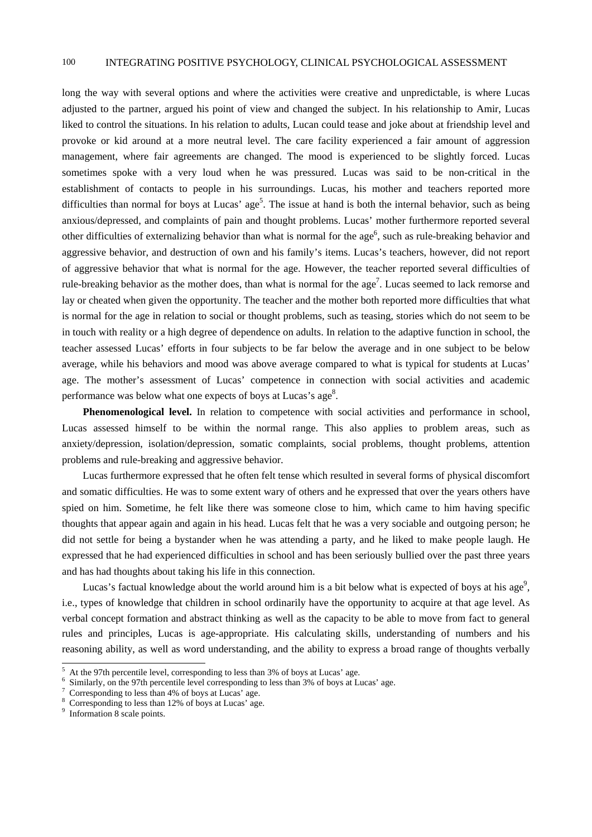long the way with several options and where the activities were creative and unpredictable, is where Lucas adjusted to the partner, argued his point of view and changed the subject. In his relationship to Amir, Lucas liked to control the situations. In his relation to adults, Lucan could tease and joke about at friendship level and provoke or kid around at a more neutral level. The care facility experienced a fair amount of aggression management, where fair agreements are changed. The mood is experienced to be slightly forced. Lucas sometimes spoke with a very loud when he was pressured. Lucas was said to be non-critical in the establishment of contacts to people in his surroundings. Lucas, his mother and teachers reported more difficulties than normal for boys at Lucas' age<sup>5</sup>. The issue at hand is both the internal behavior, such as being anxious/depressed, and complaints of pain and thought problems. Lucas' mother furthermore reported several other difficulties of externalizing behavior than what is normal for the age<sup>6</sup>, such as rule-breaking behavior and aggressive behavior, and destruction of own and his family's items. Lucas's teachers, however, did not report of aggressive behavior that what is normal for the age. However, the teacher reported several difficulties of rule-breaking behavior as the mother does, than what is normal for the age<sup>7</sup>. Lucas seemed to lack remorse and lay or cheated when given the opportunity. The teacher and the mother both reported more difficulties that what is normal for the age in relation to social or thought problems, such as teasing, stories which do not seem to be in touch with reality or a high degree of dependence on adults. In relation to the adaptive function in school, the teacher assessed Lucas' efforts in four subjects to be far below the average and in one subject to be below average, while his behaviors and mood was above average compared to what is typical for students at Lucas' age. The mother's assessment of Lucas' competence in connection with social activities and academic performance was below what one expects of boys at Lucas's age<sup>8</sup>.

**Phenomenological level.** In relation to competence with social activities and performance in school, Lucas assessed himself to be within the normal range. This also applies to problem areas, such as anxiety/depression, isolation/depression, somatic complaints, social problems, thought problems, attention problems and rule-breaking and aggressive behavior.

Lucas furthermore expressed that he often felt tense which resulted in several forms of physical discomfort and somatic difficulties. He was to some extent wary of others and he expressed that over the years others have spied on him. Sometime, he felt like there was someone close to him, which came to him having specific thoughts that appear again and again in his head. Lucas felt that he was a very sociable and outgoing person; he did not settle for being a bystander when he was attending a party, and he liked to make people laugh. He expressed that he had experienced difficulties in school and has been seriously bullied over the past three years and has had thoughts about taking his life in this connection.

Lucas's factual knowledge about the world around him is a bit below what is expected of boys at his age<sup>9</sup>, i.e., types of knowledge that children in school ordinarily have the opportunity to acquire at that age level. As verbal concept formation and abstract thinking as well as the capacity to be able to move from fact to general rules and principles, Lucas is age-appropriate. His calculating skills, understanding of numbers and his reasoning ability, as well as word understanding, and the ability to express a broad range of thoughts verbally

 $\overline{a}$ 

 $^5$  At the 97th percentile level, corresponding to less than 3% of boys at Lucas' age.

 $6$  Similarly, on the 97th percentile level corresponding to less than 3% of boys at Lucas' age.

Corresponding to less than 4% of boys at Lucas' age.

<sup>8</sup> Corresponding to less than 12% of boys at Lucas' age.

<sup>&</sup>lt;sup>9</sup> Information 8 scale points.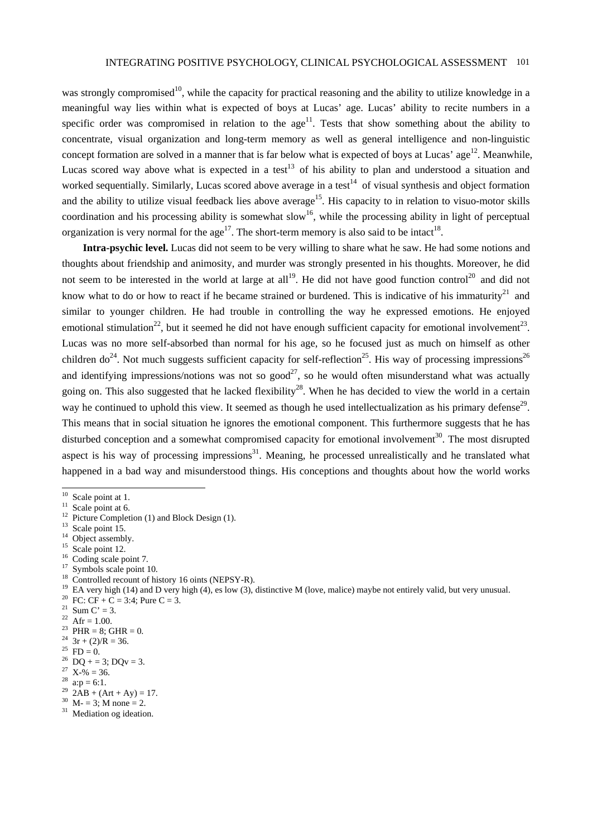was strongly compromised<sup>10</sup>, while the capacity for practical reasoning and the ability to utilize knowledge in a meaningful way lies within what is expected of boys at Lucas' age. Lucas' ability to recite numbers in a specific order was compromised in relation to the  $age<sup>11</sup>$ . Tests that show something about the ability to concentrate, visual organization and long-term memory as well as general intelligence and non-linguistic concept formation are solved in a manner that is far below what is expected of boys at Lucas' age<sup>12</sup>. Meanwhile, Lucas scored way above what is expected in a test<sup>13</sup> of his ability to plan and understood a situation and worked sequentially. Similarly, Lucas scored above average in a test<sup>14</sup> of visual synthesis and object formation and the ability to utilize visual feedback lies above average<sup>15</sup>. His capacity to in relation to visuo-motor skills coordination and his processing ability is somewhat slow<sup>16</sup>, while the processing ability in light of perceptual organization is very normal for the age<sup>17</sup>. The short-term memory is also said to be intact<sup>18</sup>.

**Intra-psychic level.** Lucas did not seem to be very willing to share what he saw. He had some notions and thoughts about friendship and animosity, and murder was strongly presented in his thoughts. Moreover, he did not seem to be interested in the world at large at all<sup>19</sup>. He did not have good function control<sup>20</sup> and did not know what to do or how to react if he became strained or burdened. This is indicative of his immaturity<sup>21</sup> and similar to younger children. He had trouble in controlling the way he expressed emotions. He enjoyed emotional stimulation<sup>22</sup>, but it seemed he did not have enough sufficient capacity for emotional involvement<sup>23</sup>. Lucas was no more self-absorbed than normal for his age, so he focused just as much on himself as other children do<sup>24</sup>. Not much suggests sufficient capacity for self-reflection<sup>25</sup>. His way of processing impressions<sup>26</sup> and identifying impressions/notions was not so good<sup>27</sup>, so he would often misunderstand what was actually going on. This also suggested that he lacked flexibility<sup>28</sup>. When he has decided to view the world in a certain way he continued to uphold this view. It seemed as though he used intellectualization as his primary defense<sup>29</sup>. This means that in social situation he ignores the emotional component. This furthermore suggests that he has disturbed conception and a somewhat compromised capacity for emotional involvement<sup>30</sup>. The most disrupted aspect is his way of processing impressions $31$ . Meaning, he processed unrealistically and he translated what happened in a bad way and misunderstood things. His conceptions and thoughts about how the world works

l

- <sup>14</sup> Object assembly.
- <sup>15</sup> Scale point 12.
- <sup>16</sup> Coding scale point 7.
- <sup>17</sup> Symbols scale point 10.
- <sup>18</sup> Controlled recount of history 16 oints (NEPSY-R).
- <sup>19</sup> EA very high (14) and D very high (4), es low (3), distinctive M (love, malice) maybe not entirely valid, but very unusual.<br><sup>20</sup> FC: CF + C = 3:4; Pure C = 3.
- 
- <sup>21</sup> Sum C' = 3.
- <sup>22</sup> Afr = 1.00.
- <sup>23</sup> PHR = 8; GHR = 0.
- <sup>24</sup>  $3r + (2)/R = 36$ .
- <sup>25</sup> FD = 0.
- <sup>26</sup> DO + = 3; DQv = 3.
- $27 \text{ X-} \frac{1}{2} = 36.$
- $^{28}$  a: p = 6:1.
- $2AB + (Art + Ay) = 17.$
- $30$  M- = 3; M none = 2.
- <sup>31</sup> Mediation og ideation.

 $10$  Scale point at 1.

 $11$  Scale point at 6.

<sup>&</sup>lt;sup>12</sup> Picture Completion (1) and Block Design (1).

<sup>&</sup>lt;sup>13</sup> Scale point 15.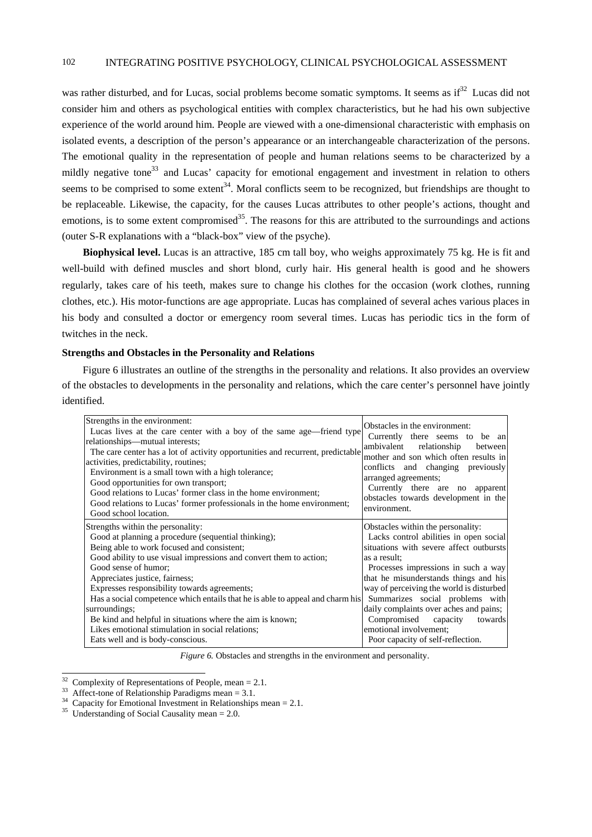was rather disturbed, and for Lucas, social problems become somatic symptoms. It seems as if<sup>32</sup> Lucas did not consider him and others as psychological entities with complex characteristics, but he had his own subjective experience of the world around him. People are viewed with a one-dimensional characteristic with emphasis on isolated events, a description of the person's appearance or an interchangeable characterization of the persons. The emotional quality in the representation of people and human relations seems to be characterized by a mildly negative tone<sup>33</sup> and Lucas' capacity for emotional engagement and investment in relation to others seems to be comprised to some extent<sup>34</sup>. Moral conflicts seem to be recognized, but friendships are thought to be replaceable. Likewise, the capacity, for the causes Lucas attributes to other people's actions, thought and emotions, is to some extent compromised<sup>35</sup>. The reasons for this are attributed to the surroundings and actions (outer S-R explanations with a "black-box" view of the psyche).

**Biophysical level.** Lucas is an attractive, 185 cm tall boy, who weighs approximately 75 kg. He is fit and well-build with defined muscles and short blond, curly hair. His general health is good and he showers regularly, takes care of his teeth, makes sure to change his clothes for the occasion (work clothes, running clothes, etc.). His motor-functions are age appropriate. Lucas has complained of several aches various places in his body and consulted a doctor or emergency room several times. Lucas has periodic tics in the form of twitches in the neck.

#### **Strengths and Obstacles in the Personality and Relations**

Figure 6 illustrates an outline of the strengths in the personality and relations. It also provides an overview of the obstacles to developments in the personality and relations, which the care center's personnel have jointly identified.

| Strengths in the environment:<br>Lucas lives at the care center with a boy of the same age—friend type<br>relationships—mutual interests;<br>The care center has a lot of activity opportunities and recurrent, predictable<br>activities, predictability, routines;<br>Environment is a small town with a high tolerance;<br>Good opportunities for own transport;<br>Good relations to Lucas' former class in the home environment;<br>Good relations to Lucas' former professionals in the home environment;<br>Good school location.                                      | Obstacles in the environment:<br>Currently there seems to be an<br>ambivalent<br>relationship<br>between<br>mother and son which often results in<br>conflicts and changing previously<br>arranged agreements;<br>Currently there are no apparent<br>obstacles towards development in the<br>environment.                                                                                                                                         |
|-------------------------------------------------------------------------------------------------------------------------------------------------------------------------------------------------------------------------------------------------------------------------------------------------------------------------------------------------------------------------------------------------------------------------------------------------------------------------------------------------------------------------------------------------------------------------------|---------------------------------------------------------------------------------------------------------------------------------------------------------------------------------------------------------------------------------------------------------------------------------------------------------------------------------------------------------------------------------------------------------------------------------------------------|
| Strengths within the personality:<br>Good at planning a procedure (sequential thinking);<br>Being able to work focused and consistent;<br>Good ability to use visual impressions and convert them to action;<br>Good sense of humor;<br>Appreciates justice, fairness;<br>Expresses responsibility towards agreements;<br>Has a social competence which entails that he is able to appeal and charm his<br>surroundings;<br>Be kind and helpful in situations where the aim is known;<br>Likes emotional stimulation in social relations;<br>Eats well and is body-conscious. | Obstacles within the personality:<br>Lacks control abilities in open social<br>situations with severe affect outbursts<br>as a result;<br>Processes impressions in such a way<br>that he misunderstands things and his<br>way of perceiving the world is disturbed<br>Summarizes social problems with<br>daily complaints over aches and pains;<br>Compromised capacity<br>towards<br>emotional involvement;<br>Poor capacity of self-reflection. |

*Figure 6.* Obstacles and strengths in the environment and personality.

<sup>&</sup>lt;sup>32</sup> Complexity of Representations of People, mean = 2.1.

<sup>33</sup> Affect-tone of Relationship Paradigms mean = 3.1.<br><sup>34</sup> Capacity for Emotional Investment in Relationships mean = 2.1.<br><sup>35</sup> Understanding of Social Causality mean = 2.0.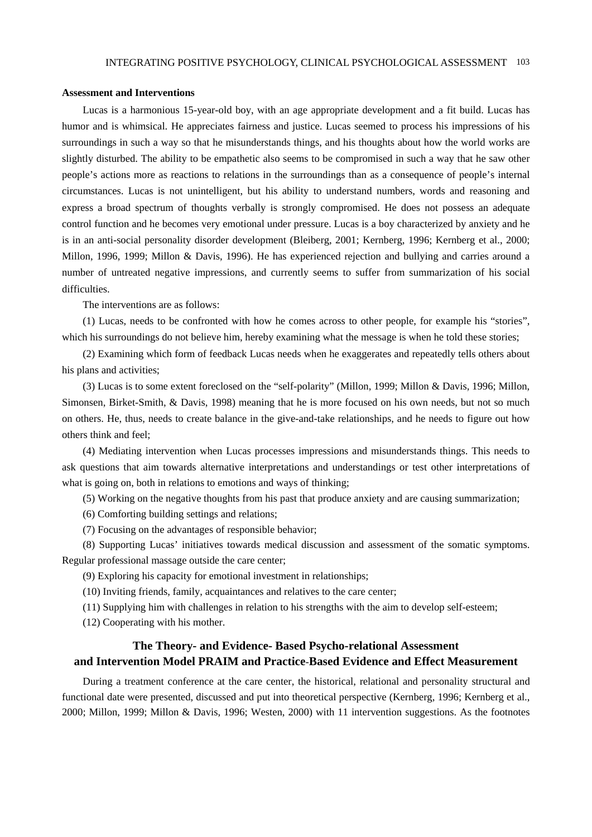#### **Assessment and Interventions**

Lucas is a harmonious 15-year-old boy, with an age appropriate development and a fit build. Lucas has humor and is whimsical. He appreciates fairness and justice. Lucas seemed to process his impressions of his surroundings in such a way so that he misunderstands things, and his thoughts about how the world works are slightly disturbed. The ability to be empathetic also seems to be compromised in such a way that he saw other people's actions more as reactions to relations in the surroundings than as a consequence of people's internal circumstances. Lucas is not unintelligent, but his ability to understand numbers, words and reasoning and express a broad spectrum of thoughts verbally is strongly compromised. He does not possess an adequate control function and he becomes very emotional under pressure. Lucas is a boy characterized by anxiety and he is in an anti-social personality disorder development (Bleiberg, 2001; Kernberg, 1996; Kernberg et al., 2000; Millon, 1996, 1999; Millon & Davis, 1996). He has experienced rejection and bullying and carries around a number of untreated negative impressions, and currently seems to suffer from summarization of his social difficulties.

The interventions are as follows:

(1) Lucas, needs to be confronted with how he comes across to other people, for example his "stories", which his surroundings do not believe him, hereby examining what the message is when he told these stories;

(2) Examining which form of feedback Lucas needs when he exaggerates and repeatedly tells others about his plans and activities;

(3) Lucas is to some extent foreclosed on the "self-polarity" (Millon, 1999; Millon & Davis, 1996; Millon, Simonsen, Birket-Smith, & Davis, 1998) meaning that he is more focused on his own needs, but not so much on others. He, thus, needs to create balance in the give-and-take relationships, and he needs to figure out how others think and feel;

(4) Mediating intervention when Lucas processes impressions and misunderstands things. This needs to ask questions that aim towards alternative interpretations and understandings or test other interpretations of what is going on, both in relations to emotions and ways of thinking;

(5) Working on the negative thoughts from his past that produce anxiety and are causing summarization;

(6) Comforting building settings and relations;

(7) Focusing on the advantages of responsible behavior;

(8) Supporting Lucas' initiatives towards medical discussion and assessment of the somatic symptoms. Regular professional massage outside the care center;

(9) Exploring his capacity for emotional investment in relationships;

(10) Inviting friends, family, acquaintances and relatives to the care center;

(11) Supplying him with challenges in relation to his strengths with the aim to develop self-esteem;

(12) Cooperating with his mother.

# **The Theory- and Evidence- Based Psycho-relational Assessment and Intervention Model PRAIM and Practice**-**Based Evidence and Effect Measurement**

During a treatment conference at the care center, the historical, relational and personality structural and functional date were presented, discussed and put into theoretical perspective (Kernberg, 1996; Kernberg et al., 2000; Millon, 1999; Millon & Davis, 1996; Westen, 2000) with 11 intervention suggestions. As the footnotes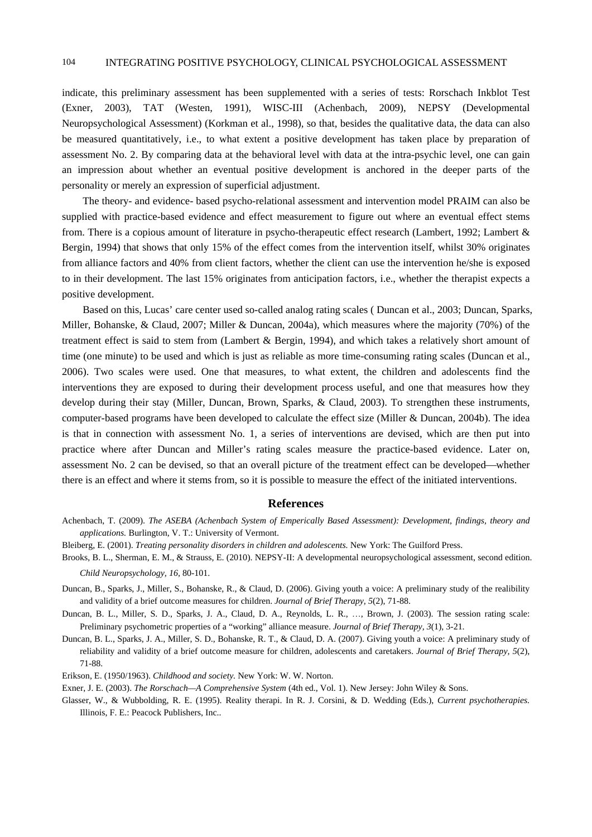indicate, this preliminary assessment has been supplemented with a series of tests: Rorschach Inkblot Test (Exner, 2003), TAT (Westen, 1991), WISC-III (Achenbach, 2009), NEPSY (Developmental Neuropsychological Assessment) (Korkman et al., 1998), so that, besides the qualitative data, the data can also be measured quantitatively, i.e., to what extent a positive development has taken place by preparation of assessment No. 2. By comparing data at the behavioral level with data at the intra-psychic level, one can gain an impression about whether an eventual positive development is anchored in the deeper parts of the personality or merely an expression of superficial adjustment.

The theory- and evidence- based psycho-relational assessment and intervention model PRAIM can also be supplied with practice-based evidence and effect measurement to figure out where an eventual effect stems from. There is a copious amount of literature in psycho-therapeutic effect research (Lambert, 1992; Lambert & Bergin, 1994) that shows that only 15% of the effect comes from the intervention itself, whilst 30% originates from alliance factors and 40% from client factors, whether the client can use the intervention he/she is exposed to in their development. The last 15% originates from anticipation factors, i.e., whether the therapist expects a positive development.

Based on this, Lucas' care center used so-called analog rating scales ( Duncan et al., 2003; Duncan, Sparks, Miller, Bohanske, & Claud, 2007; Miller & Duncan, 2004a), which measures where the majority (70%) of the treatment effect is said to stem from (Lambert & Bergin, 1994), and which takes a relatively short amount of time (one minute) to be used and which is just as reliable as more time-consuming rating scales (Duncan et al., 2006). Two scales were used. One that measures, to what extent, the children and adolescents find the interventions they are exposed to during their development process useful, and one that measures how they develop during their stay (Miller, Duncan, Brown, Sparks, & Claud, 2003). To strengthen these instruments, computer-based programs have been developed to calculate the effect size (Miller & Duncan, 2004b). The idea is that in connection with assessment No. 1, a series of interventions are devised, which are then put into practice where after Duncan and Miller's rating scales measure the practice-based evidence. Later on, assessment No. 2 can be devised, so that an overall picture of the treatment effect can be developed—whether there is an effect and where it stems from, so it is possible to measure the effect of the initiated interventions.

#### **References**

- Achenbach, T. (2009). *The ASEBA (Achenbach System of Emperically Based Assessment): Development, findings, theory and applications.* Burlington, V. T.: University of Vermont.
- Bleiberg, E. (2001). *Treating personality disorders in children and adolescents.* New York: The Guilford Press.
- Brooks, B. L., Sherman, E. M., & Strauss, E. (2010). NEPSY-II: A developmental neuropsychological assessment, second edition. *Child Neuropsychology, 16,* 80-101.
- Duncan, B., Sparks, J., Miller, S., Bohanske, R., & Claud, D. (2006). Giving youth a voice: A preliminary study of the realibility and validity of a brief outcome measures for children. *Journal of Brief Therapy, 5*(2), 71-88.
- Duncan, B. L., Miller, S. D., Sparks, J. A., Claud, D. A., Reynolds, L. R., …, Brown, J. (2003). The session rating scale: Preliminary psychometric properties of a "working" alliance measure. *Journal of Brief Therapy, 3*(1), 3-21.
- Duncan, B. L., Sparks, J. A., Miller, S. D., Bohanske, R. T., & Claud, D. A. (2007). Giving youth a voice: A preliminary study of reliability and validity of a brief outcome measure for children, adolescents and caretakers. *Journal of Brief Therapy, 5*(2), 71-88.
- Erikson, E. (1950/1963). *Childhood and society.* New York: W. W. Norton.
- Exner, J. E. (2003). *The Rorschach—A Comprehensive System* (4th ed., Vol. 1). New Jersey: John Wiley & Sons.
- Glasser, W., & Wubbolding, R. E. (1995). Reality therapi. In R. J. Corsini, & D. Wedding (Eds.), *Current psychotherapies.*  Illinois, F. E.: Peacock Publishers, Inc..